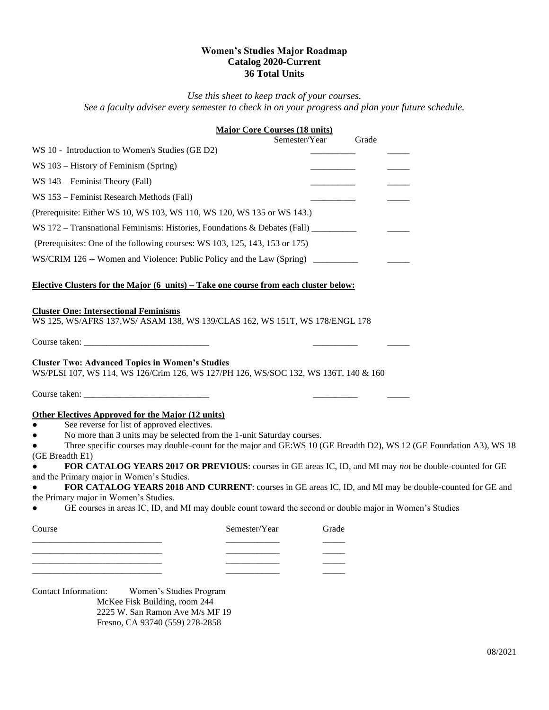## **Women's Studies Major Roadmap Catalog 2020-Current 36 Total Units**

*Use this sheet to keep track of your courses. See a faculty adviser every semester to check in on your progress and plan your future schedule.*

## **Major Core Courses (18 units)**  Semester/Year Grade WS 10 - Introduction to Women's Studies (GE D2) WS  $103$  – History of Feminism (Spring) WS 143 – Feminist Theory (Fall) WS 153 – Feminist Research Methods (Fall) (Prerequisite: Either WS 10, WS 103, WS 110, WS 120, WS 135 or WS 143.) WS  $172 -$  Transnational Feminisms: Histories, Foundations & Debates (Fall) (Prerequisites: One of the following courses: WS 103, 125, 143, 153 or 175) WS/CRIM 126 -- Women and Violence: Public Policy and the Law (Spring) \_\_\_\_\_\_\_\_\_ **Elective Clusters for the Major (6 units) – Take one course from each cluster below: Cluster One: Intersectional Feminisms** WS 125, WS/AFRS 137,WS/ ASAM 138, WS 139/CLAS 162, WS 151T, WS 178/ENGL 178 Course taken: **Cluster Two: Advanced Topics in Women's Studies**  WS/PLSI 107, WS 114, WS 126/Crim 126, WS 127/PH 126, WS/SOC 132, WS 136T, 140 & 160 Course taken: \_\_\_\_\_\_\_\_\_\_\_\_\_\_\_\_\_\_\_\_\_\_\_\_\_\_\_\_ \_\_\_\_\_\_\_\_\_\_ \_\_\_\_\_ **Other Electives Approved for the Major (12 units)**

- See reverse for list of approved electives.
- No more than 3 units may be selected from the 1-unit Saturday courses.

Three specific courses may double-count for the major and GE:WS 10 (GE Breadth D2), WS 12 (GE Foundation A3), WS 18 (GE Breadth E1)

● **FOR CATALOG YEARS 2017 OR PREVIOUS**: courses in GE areas IC, ID, and MI may *not* be double-counted for GE and the Primary major in Women's Studies.

FOR CATALOG YEARS 2018 AND CURRENT: courses in GE areas IC, ID, and MI may be double-counted for GE and the Primary major in Women's Studies.

● GE courses in areas IC, ID, and MI may double count toward the second or double major in Women's Studies

| Course | Semester/Year | Grade |
|--------|---------------|-------|
|        |               |       |
|        |               |       |
|        |               |       |
|        |               |       |

Contact Information: Women's Studies Program McKee Fisk Building, room 244 2225 W. San Ramon Ave M/s MF 19 Fresno, CA 93740 (559) 278-2858